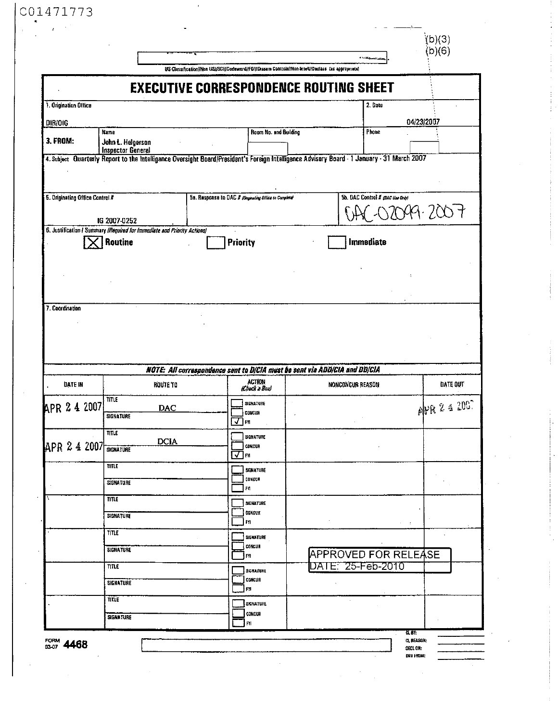|                                 |                                                                                         |                                                                                                                                             |        |                                  | (b)(3)<br>b)(6) |
|---------------------------------|-----------------------------------------------------------------------------------------|---------------------------------------------------------------------------------------------------------------------------------------------|--------|----------------------------------|-----------------|
|                                 |                                                                                         | US Classification//Non US//SCI//Codeword//FGI/fDissum Controls//Non-Intell//Declass (as appropriate)                                        |        |                                  |                 |
|                                 |                                                                                         | <b>EXECUTIVE CORRESPONDENCE ROUTING SHEET</b>                                                                                               |        |                                  |                 |
| 1. Origination Office           |                                                                                         |                                                                                                                                             |        | 2. Date                          |                 |
| <b>DIRIOIG</b>                  |                                                                                         |                                                                                                                                             |        |                                  | 04/23/2007      |
| <b>3. FROM:</b>                 | Room No. and Building<br>Phone<br>Name<br>John L. Helgerson<br><b>Inspector General</b> |                                                                                                                                             |        |                                  |                 |
|                                 |                                                                                         | 4. Subject Quarterly Report to the Intelligence Oversight Board/President's Foreign Intelligence Advisory Board - 1 January - 31 March 2007 |        |                                  |                 |
| 5. Originating Office Control # |                                                                                         | 5a. Response to DAC # (Orginaling Office to Complete)                                                                                       |        | 5b. DAC Control # (DAC Use Only) |                 |
|                                 | IG 2007-0252                                                                            |                                                                                                                                             |        |                                  | X19.200 t       |
|                                 | 6. Justification   Summary (Required for Immediate and Priority Actions)                |                                                                                                                                             |        | Immediate                        |                 |
|                                 | Routine                                                                                 | Priority                                                                                                                                    |        |                                  |                 |
|                                 |                                                                                         |                                                                                                                                             |        |                                  |                 |
|                                 |                                                                                         |                                                                                                                                             |        |                                  |                 |
|                                 |                                                                                         |                                                                                                                                             |        |                                  |                 |
| 7. Coordination                 |                                                                                         |                                                                                                                                             |        |                                  |                 |
|                                 |                                                                                         |                                                                                                                                             |        |                                  |                 |
|                                 |                                                                                         | NOTE: All correspondence sent to DICIA must be sent via ADDICIA and DDICIA<br><b>ACTION</b>                                                 |        |                                  |                 |
| <b>DATE IN</b>                  | ROUTE TO                                                                                | il heck a Box                                                                                                                               |        | NONCONCUR REASON                 | DATE OUT        |
|                                 | <b>TITLE</b><br><b>DAC</b>                                                              | SIGNATURE                                                                                                                                   |        |                                  |                 |
| APR 24 2007                     | SIGNATURE                                                                               | <b>REQUESTED</b><br>⊡™                                                                                                                      |        |                                  | APR 2 4 2007    |
|                                 | TITLE                                                                                   | SIGNATURE                                                                                                                                   |        |                                  |                 |
| APR 2 4 2007 SIGNATURE          | <b>DCIA</b>                                                                             | ) concur                                                                                                                                    |        |                                  |                 |
|                                 | TITLE                                                                                   | O™                                                                                                                                          |        |                                  |                 |
|                                 |                                                                                         | <b>SIGNATURE</b><br>CONCOR                                                                                                                  |        |                                  |                 |
|                                 | <b>SIGNATURE</b>                                                                        | FY                                                                                                                                          |        |                                  |                 |
|                                 | <b>TITLE</b>                                                                            | SIGNATURE                                                                                                                                   |        |                                  |                 |
|                                 | <b>SIGNATURE</b>                                                                        | CONCUR<br><b>FYI</b>                                                                                                                        |        |                                  |                 |
|                                 | TITLE                                                                                   |                                                                                                                                             |        |                                  | $\mathcal{L}$   |
|                                 |                                                                                         | SIGNATURE<br>CONCUR                                                                                                                         |        |                                  |                 |
|                                 | SIGNATURE                                                                               | FY                                                                                                                                          |        | <b>APPROVED FOR RELEASE</b>      |                 |
|                                 | TITLE                                                                                   | <b>SIGNATURE</b>                                                                                                                            |        | DATE: 25-Feb-2010                |                 |
|                                 | SIGNATURE                                                                               | CONCUR<br>£YI                                                                                                                               |        |                                  |                 |
|                                 | TITLE                                                                                   | <b>SIGHATURE</b>                                                                                                                            | $\sim$ |                                  |                 |
|                                 | <b>SIGNATURE</b>                                                                        | CONCUR                                                                                                                                      |        |                                  |                 |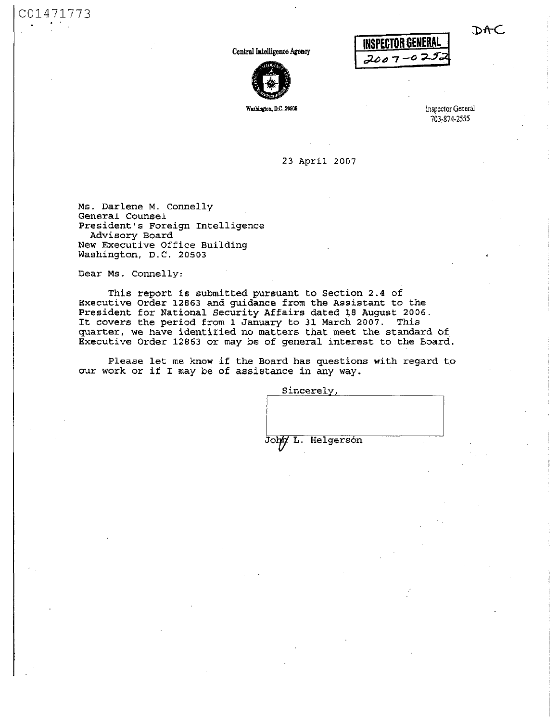Central Intelligence Agency



INSPECTOR GENERAL *¿Ló à* 

**Wuhingtm, D.C. 20505** Inspector General 703-874-2555

**DAC** 

**23 April 2007** 

**Ms. Darlene M. Connelly General Counsel President's Foreign Intelligence Advisory Board New Executive Office Building Washington, D.C. 20503** 

**Dear Ms. Connelly:** 

C01471773

**This report is submitted pursuant to Section 2.4 of Executive Order 12863 and guidance from the Assistant to the President for National Security Affairs dated 18 August 2006. It covers the period from 1 January to 31 March 2007. This quarter, we have identified no matters that meet the standard of Executive Order 12863 or may be of general interest to the Board.** 

**Please let me know if the Board has questions with regard to our work or if I may be of assistance in any way.** 

**Sincerely,** 

John L. Helgerson